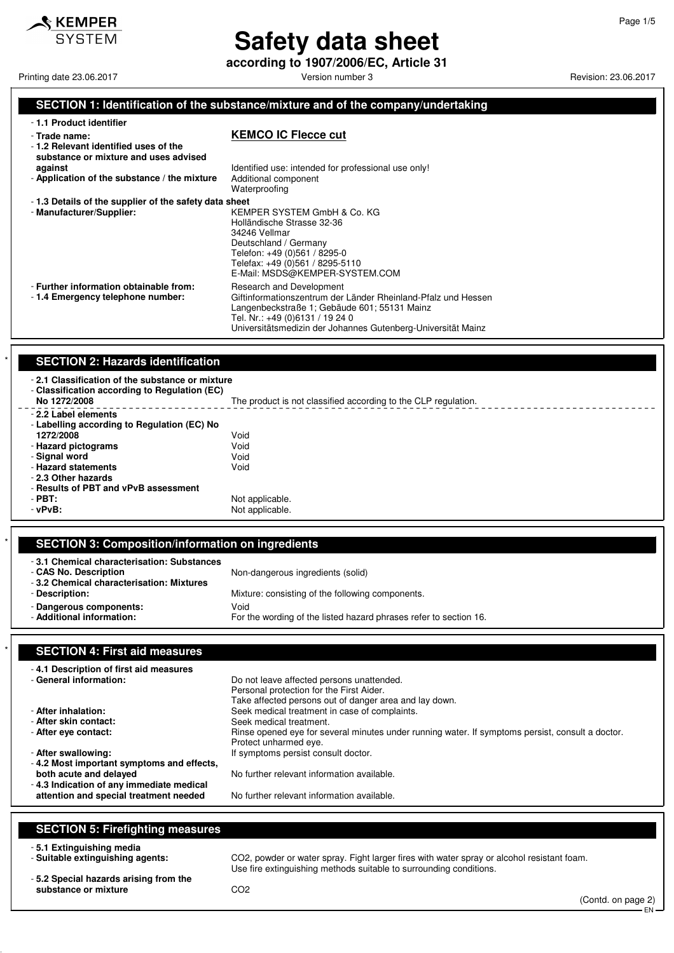

**according to 1907/2006/EC, Article 31**

Printing date 23.06.2017 **Printing date 23.06.2017** Version number 3 Revision: 23.06.2017

Page 1/5

#### **SECTION 1: Identification of the substance/mixture and of the company/undertaking**

| -1.1 Product identifier                                                                        |                                                                                                                                                                                                                                              |
|------------------------------------------------------------------------------------------------|----------------------------------------------------------------------------------------------------------------------------------------------------------------------------------------------------------------------------------------------|
| - Trade name:<br>-1.2 Relevant identified uses of the<br>substance or mixture and uses advised | <b>KEMCO IC Flecce cut</b>                                                                                                                                                                                                                   |
| against<br>- Application of the substance / the mixture                                        | Identified use: intended for professional use only!<br>Additional component                                                                                                                                                                  |
|                                                                                                | Waterproofing                                                                                                                                                                                                                                |
| -1.3 Details of the supplier of the safety data sheet<br>- Manufacturer/Supplier:              | KEMPER SYSTEM GmbH & Co. KG<br>Holländische Strasse 32-36<br>34246 Vellmar<br>Deutschland / Germany<br>Telefon: +49 (0)561 / 8295-0<br>Telefax: +49 (0)561 / 8295-5110<br>E-Mail: MSDS@KEMPER-SYSTEM.COM                                     |
| - Further information obtainable from:<br>-1.4 Emergency telephone number:                     | Research and Development<br>Giftinformationszentrum der Länder Rheinland-Pfalz und Hessen<br>Langenbeckstraße 1; Gebäude 601; 55131 Mainz<br>Tel. Nr.: +49 (0)6131 / 19 24 0<br>Universitätsmedizin der Johannes Gutenberg-Universität Mainz |

#### **SECTION 2: Hazards identification**

| -2.1 Classification of the substance or mixture<br>- Classification according to Regulation (EC)<br>No 1272/2008                                                                                               | The product is not classified according to the CLP regulation. |
|----------------------------------------------------------------------------------------------------------------------------------------------------------------------------------------------------------------|----------------------------------------------------------------|
| - 2.2 Label elements<br>- Labelling according to Regulation (EC) No<br>1272/2008<br>- Hazard pictograms<br>- Signal word<br>- Hazard statements<br>- 2.3 Other hazards<br>- Results of PBT and vPvB assessment | Void<br>Void<br>Void<br>Void                                   |
| $-$ PBT:<br>$-vPvB$ :                                                                                                                                                                                          | Not applicable.<br>Not applicable.                             |

#### \* **SECTION 3: Composition/information on ingredients**

| -3.1 Chemical characterisation: Substances<br>- CAS No. Description<br>-3.2 Chemical characterisation: Mixtures | Non-dangerous ingredients (solid)                                         |
|-----------------------------------------------------------------------------------------------------------------|---------------------------------------------------------------------------|
| - Description:                                                                                                  | Mixture: consisting of the following components.                          |
| - Dangerous components:<br>- Additional information:                                                            | Void<br>For the wording of the listed hazard phrases refer to section 16. |

#### **SECTION 4: First aid measures**

| -4.1 Description of first aid measures<br>- General information:     | Do not leave affected persons unattended.<br>Personal protection for the First Aider.                                                                                                                                                                           |
|----------------------------------------------------------------------|-----------------------------------------------------------------------------------------------------------------------------------------------------------------------------------------------------------------------------------------------------------------|
| - After inhalation:<br>- After skin contact:<br>- After eve contact: | Take affected persons out of danger area and lay down.<br>Seek medical treatment in case of complaints.<br>Seek medical treatment.<br>Rinse opened eye for several minutes under running water. If symptoms persist, consult a doctor.<br>Protect unharmed eye. |
| - After swallowing:<br>-4.2 Most important symptoms and effects,     | If symptoms persist consult doctor.                                                                                                                                                                                                                             |
| both acute and delayed<br>-4.3 Indication of any immediate medical   | No further relevant information available.                                                                                                                                                                                                                      |
| attention and special treatment needed                               | No further relevant information available.                                                                                                                                                                                                                      |

#### **SECTION 5: Firefighting measures**

- **5.1 Extinguishing media**

- **5.2 Special hazards arising from the** substance or mixture **CO2** 

CO2, powder or water spray. Fight larger fires with water spray or alcohol resistant foam. Use fire extinguishing methods suitable to surrounding conditions.

(Contd. on page 2) EN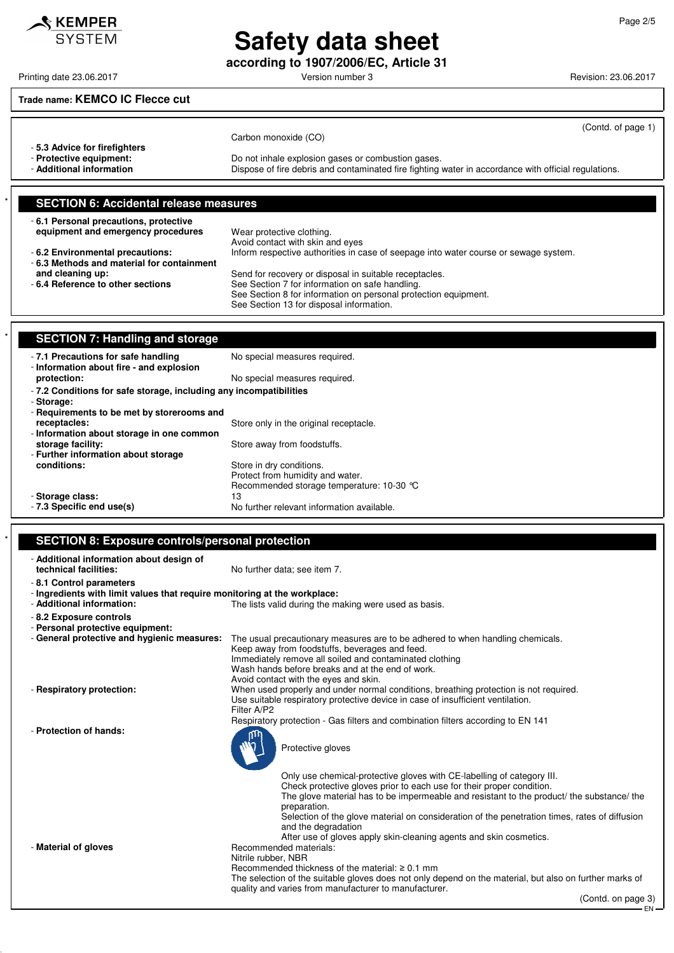EN

# **Safety data sheet**

**according to 1907/2006/EC, Article 31**

### **Trade name: KEMCO IC Flecce cut**

| -5.3 Advice for firefighters<br>- Protective equipment: | (Contd. of page 1)<br>Carbon monoxide (CO)<br>Do not inhale explosion gases or combustion gases.     |
|---------------------------------------------------------|------------------------------------------------------------------------------------------------------|
| - Additional information                                | Dispose of fire debris and contaminated fire fighting water in accordance with official regulations. |
| <b>SECTION 6: Accidental release measures</b>           |                                                                                                      |
| -6.1 Personal precautions, protective                   |                                                                                                      |

| <b>V.I.I CISONIGI PICCQUIDIS, PIOTECTIVE</b> |                                                                                      |
|----------------------------------------------|--------------------------------------------------------------------------------------|
| equipment and emergency procedures           | Wear protective clothing.                                                            |
|                                              | Avoid contact with skin and eyes                                                     |
| -6.2 Environmental precautions:              | Inform respective authorities in case of seepage into water course or sewage system. |
| -6.3 Methods and material for containment    |                                                                                      |
| and cleaning up:                             | Send for recovery or disposal in suitable receptacles.                               |
| - 6.4 Reference to other sections            | See Section 7 for information on safe handling.                                      |
|                                              | See Section 8 for information on personal protection equipment.                      |
|                                              | See Section 13 for disposal information.                                             |
|                                              |                                                                                      |

| <b>SECTION 7: Handling and storage</b>                                          |                                            |  |
|---------------------------------------------------------------------------------|--------------------------------------------|--|
| - 7.1 Precautions for safe handling<br>- Information about fire - and explosion | No special measures required.              |  |
| protection:                                                                     | No special measures required.              |  |
| -7.2 Conditions for safe storage, including any incompatibilities               |                                            |  |
| - Storage:                                                                      |                                            |  |
| - Requirements to be met by storerooms and                                      |                                            |  |
| receptacles:                                                                    | Store only in the original receptacle.     |  |
| - Information about storage in one common                                       |                                            |  |
| storage facility:                                                               | Store away from foodstuffs.                |  |
| - Further information about storage                                             |                                            |  |
| conditions:                                                                     | Store in dry conditions.                   |  |
|                                                                                 | Protect from humidity and water.           |  |
|                                                                                 | Recommended storage temperature: 10-30 °C  |  |
| - Storage class:                                                                | 13                                         |  |
| - 7.3 Specific end use(s)                                                       | No further relevant information available. |  |

#### **SECTION 8: Exposure controls/personal protection**

| - Additional information about design of<br>technical facilities:               | No further data; see item 7.                                                                                                                                             |
|---------------------------------------------------------------------------------|--------------------------------------------------------------------------------------------------------------------------------------------------------------------------|
| -8.1 Control parameters                                                         |                                                                                                                                                                          |
| - Ingredients with limit values that require monitoring at the workplace:       |                                                                                                                                                                          |
| - Additional information:                                                       | The lists valid during the making were used as basis.                                                                                                                    |
| - 8.2 Exposure controls                                                         |                                                                                                                                                                          |
| - Personal protective equipment:<br>- General protective and hygienic measures: | The usual precautionary measures are to be adhered to when handling chemicals.                                                                                           |
|                                                                                 | Keep away from foodstuffs, beverages and feed.                                                                                                                           |
|                                                                                 | Immediately remove all soiled and contaminated clothing                                                                                                                  |
|                                                                                 | Wash hands before breaks and at the end of work.                                                                                                                         |
|                                                                                 | Avoid contact with the eyes and skin.                                                                                                                                    |
| - Respiratory protection:                                                       | When used properly and under normal conditions, breathing protection is not required.<br>Use suitable respiratory protective device in case of insufficient ventilation. |
|                                                                                 | Filter A/P2                                                                                                                                                              |
|                                                                                 | Respiratory protection - Gas filters and combination filters according to EN 141                                                                                         |
| - Protection of hands:                                                          | Protective gloves                                                                                                                                                        |
|                                                                                 | Only use chemical-protective gloves with CE-labelling of category III.                                                                                                   |
|                                                                                 | Check protective gloves prior to each use for their proper condition.                                                                                                    |
|                                                                                 | The glove material has to be impermeable and resistant to the product/ the substance/ the                                                                                |
|                                                                                 | preparation.<br>Selection of the glove material on consideration of the penetration times, rates of diffusion                                                            |
|                                                                                 | and the degradation                                                                                                                                                      |
|                                                                                 | After use of gloves apply skin-cleaning agents and skin cosmetics.                                                                                                       |
| - Material of gloves                                                            | Recommended materials:                                                                                                                                                   |
|                                                                                 | Nitrile rubber, NBR<br>Recommended thickness of the material: $\geq 0.1$ mm                                                                                              |
|                                                                                 | The selection of the suitable gloves does not only depend on the material, but also on further marks of                                                                  |
|                                                                                 | quality and varies from manufacturer to manufacturer.                                                                                                                    |
|                                                                                 | (Contd. on page 3)                                                                                                                                                       |

Printing date 23.06.2017 **Principal and COVID-100** Version number 3 Revision: 23.06.2017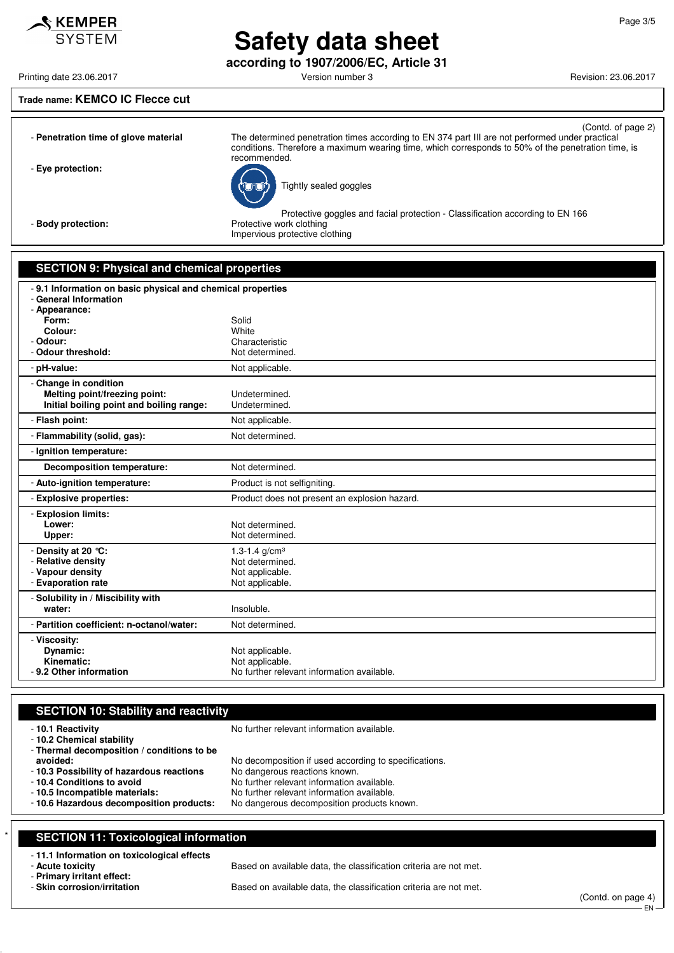**according to 1907/2006/EC, Article 31**

Printing date 23.06.2017 **Printing date 23.06.2017** Version number 3 Revision: 23.06.2017

#### **Trade name: KEMCO IC Flecce cut**

KEMPER **SYSTEM** 

| - Penetration time of glove material | (Contd. of page 2)<br>The determined penetration times according to EN 374 part III are not performed under practical                       |
|--------------------------------------|---------------------------------------------------------------------------------------------------------------------------------------------|
|                                      | conditions. Therefore a maximum wearing time, which corresponds to 50% of the penetration time, is<br>recommended.                          |
| - Eye protection:                    | Tightly sealed goggles                                                                                                                      |
| - Body protection:                   | Protective goggles and facial protection - Classification according to EN 166<br>Protective work clothing<br>Impervious protective clothing |
|                                      |                                                                                                                                             |

#### **SECTION 9: Physical and chemical properties**

| - 9.1 Information on basic physical and chemical properties<br>- General Information |                                               |  |
|--------------------------------------------------------------------------------------|-----------------------------------------------|--|
| - Appearance:                                                                        |                                               |  |
| Form:                                                                                | Solid                                         |  |
| Colour:                                                                              | White                                         |  |
| - Odour:                                                                             | Characteristic                                |  |
| - Odour threshold:                                                                   | Not determined.                               |  |
| - pH-value:                                                                          | Not applicable.                               |  |
| - Change in condition                                                                |                                               |  |
| Melting point/freezing point:                                                        | Undetermined.                                 |  |
| Initial boiling point and boiling range:                                             | Undetermined.                                 |  |
| - Flash point:                                                                       | Not applicable.                               |  |
| - Flammability (solid, gas):                                                         | Not determined.                               |  |
| - Ignition temperature:                                                              |                                               |  |
| <b>Decomposition temperature:</b>                                                    | Not determined.                               |  |
| - Auto-ignition temperature:                                                         | Product is not selfigniting.                  |  |
| - Explosive properties:                                                              | Product does not present an explosion hazard. |  |
| - Explosion limits:                                                                  |                                               |  |
| Lower:                                                                               | Not determined.                               |  |
| Upper:                                                                               | Not determined.                               |  |
| - Density at 20 °C:                                                                  | 1.3-1.4 $q/cm3$                               |  |
| - Relative density                                                                   | Not determined.                               |  |
| - Vapour density                                                                     | Not applicable.                               |  |
| - Evaporation rate                                                                   | Not applicable.                               |  |
| - Solubility in / Miscibility with                                                   |                                               |  |
| water:                                                                               | Insoluble.                                    |  |
| - Partition coefficient: n-octanol/water:                                            | Not determined.                               |  |
| - Viscosity:                                                                         |                                               |  |
| Dynamic:                                                                             | Not applicable.                               |  |
| Kinematic:                                                                           | Not applicable.                               |  |
| - 9.2 Other information                                                              | No further relevant information available.    |  |

#### **SECTION 10: Stability and reactivity**

| -10.1 Reactivity<br>- 10.2 Chemical stability<br>- Thermal decomposition / conditions to be | No further relevant information available.            |
|---------------------------------------------------------------------------------------------|-------------------------------------------------------|
| avoided:                                                                                    | No decomposition if used according to specifications. |
| -10.3 Possibility of hazardous reactions                                                    | No dangerous reactions known.                         |
| - 10.4 Conditions to avoid                                                                  | No further relevant information available.            |
| - 10.5 Incompatible materials:                                                              | No further relevant information available.            |
| -10.6 Hazardous decomposition products:                                                     | No dangerous decomposition products known.            |

### **SECTION 11: Toxicological information**

### - **11.1 Information on toxicological effects**

- **Primary irritant effect:**

Based on available data, the classification criteria are not met.

Based on available data, the classification criteria are not met.

(Contd. on page 4) - EN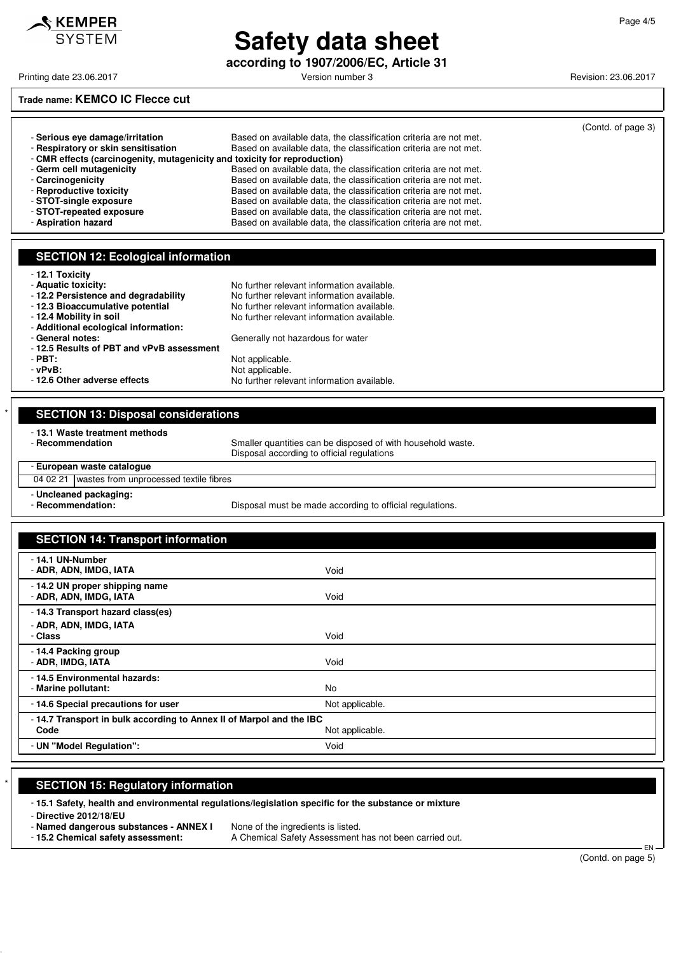

**according to 1907/2006/EC, Article 31**

Printing date 23.06.2017 **Printing date 23.06.2017** Version number 3 Revision: 23.06.2017

### **Trade name: KEMCO IC Flecce cut**

|                                                                           |                                                                   | (Contd. of page 3) |
|---------------------------------------------------------------------------|-------------------------------------------------------------------|--------------------|
| - Serious eve damage/irritation                                           | Based on available data, the classification criteria are not met. |                    |
| - Respiratory or skin sensitisation                                       | Based on available data, the classification criteria are not met. |                    |
| - CMR effects (carcinogenity, mutagenicity and toxicity for reproduction) |                                                                   |                    |
| - Germ cell mutagenicity                                                  | Based on available data, the classification criteria are not met. |                    |
| - Carcinogenicity                                                         | Based on available data, the classification criteria are not met. |                    |
| - Reproductive toxicity                                                   | Based on available data, the classification criteria are not met. |                    |
| - STOT-single exposure                                                    | Based on available data, the classification criteria are not met. |                    |
| - STOT-repeated exposure                                                  | Based on available data, the classification criteria are not met. |                    |
| - Aspiration hazard                                                       | Based on available data, the classification criteria are not met. |                    |

No further relevant information available.

No further relevant information available.

No further relevant information available.

Generally not hazardous for water

#### **SECTION 12: Ecological information**

|  |  |  |  |  | 12.1 Toxicity |
|--|--|--|--|--|---------------|
|--|--|--|--|--|---------------|

- 
- **Aquatic toxicity:**<br>  **12.2 Persistence and degradability** No further relevant information available.
- 
- **12.3 Bioaccumulative potential** No further relevant information available.<br>- **12.4 Mobility in soil** No further relevant information available.
- **Additional ecological information:**
- 
- **12.5 Results of PBT and vPvB assessment**

- **PBT:**<br>
- **vPvB:**<br>
Not applicable.

**- vPvB:**<br> **- 12.6 Other adverse effects Depicable.**<br>
No further relev

| <b>SECTION 13: Disposal considerations</b>         |                                                                                                           |  |
|----------------------------------------------------|-----------------------------------------------------------------------------------------------------------|--|
| - 13.1 Waste treatment methods<br>- Recommendation | Smaller quantities can be disposed of with household waste.<br>Disposal according to official regulations |  |
| - European waste catalogue                         |                                                                                                           |  |
| 04 02 21   wastes from unprocessed textile fibres  |                                                                                                           |  |
| - Uncleaned packaging:<br>- Recommendation:        | Disposal must be made according to official regulations.                                                  |  |

| <b>SECTION 14: Transport information</b>                                    |                 |
|-----------------------------------------------------------------------------|-----------------|
| - 14.1 UN-Number<br>- ADR, ADN, IMDG, IATA                                  | Void            |
| - 14.2 UN proper shipping name<br>- ADR, ADN, IMDG, IATA                    | Void            |
| - 14.3 Transport hazard class(es)<br>- ADR, ADN, IMDG, IATA<br>- Class      | Void            |
| - 14.4 Packing group<br>- ADR, IMDG, IATA                                   | Void            |
| - 14.5 Environmental hazards:<br>- Marine pollutant:                        | No              |
| -14.6 Special precautions for user                                          | Not applicable. |
| -14.7 Transport in bulk according to Annex II of Marpol and the IBC<br>Code | Not applicable. |
| - UN "Model Regulation":                                                    | Void            |

#### **SECTION 15: Regulatory information**

- **15.1 Safety, health and environmental regulations/legislation specific for the substance or mixture**

- **Directive 2012/18/EU**

- **Named dangerous substances - ANNEX I** None of the ingredients is listed.

- **15.2 Chemical safety assessment:** A Chemical Safety Assessment has not been carried out.